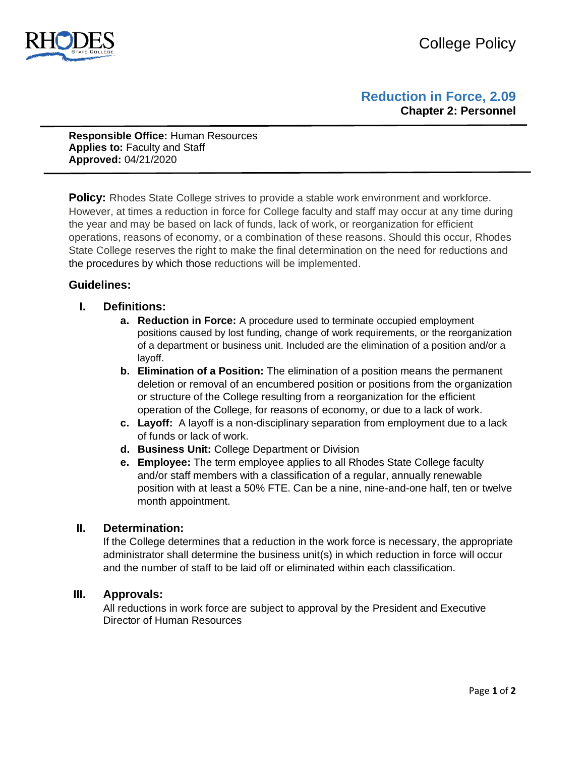

# **Reduction in Force, 2.09 Chapter 2: Personnel**

**Responsible Office:** Human Resources **Applies to:** Faculty and Staff **Approved:** 04/21/2020

**Policy:** Rhodes State College strives to provide a stable work environment and workforce. However, at times a reduction in force for College faculty and staff may occur at any time during the year and may be based on lack of funds, lack of work, or reorganization for efficient operations, reasons of economy, or a combination of these reasons. Should this occur, Rhodes State College reserves the right to make the final determination on the need for reductions and the procedures by which those reductions will be implemented.

### **Guidelines:**

- **I. Definitions:** 
	- **a. Reduction in Force:** A procedure used to terminate occupied employment positions caused by lost funding, change of work requirements, or the reorganization of a department or business unit. Included are the elimination of a position and/or a layoff.
	- **b. Elimination of a Position:** The elimination of a position means the permanent deletion or removal of an encumbered position or positions from the organization or structure of the College resulting from a reorganization for the efficient operation of the College, for reasons of economy, or due to a lack of work.
	- **c. Layoff:** A layoff is a non-disciplinary separation from employment due to a lack of funds or lack of work.
	- **d. Business Unit:** College Department or Division
	- **e. Employee:** The term employee applies to all Rhodes State College faculty and/or staff members with a classification of a regular, annually renewable position with at least a 50% FTE. Can be a nine, nine-and-one half, ten or twelve month appointment.

#### **II. Determination:**

If the College determines that a reduction in the work force is necessary, the appropriate administrator shall determine the business unit(s) in which reduction in force will occur and the number of staff to be laid off or eliminated within each classification.

#### **III. Approvals:**

All reductions in work force are subject to approval by the President and Executive Director of Human Resources